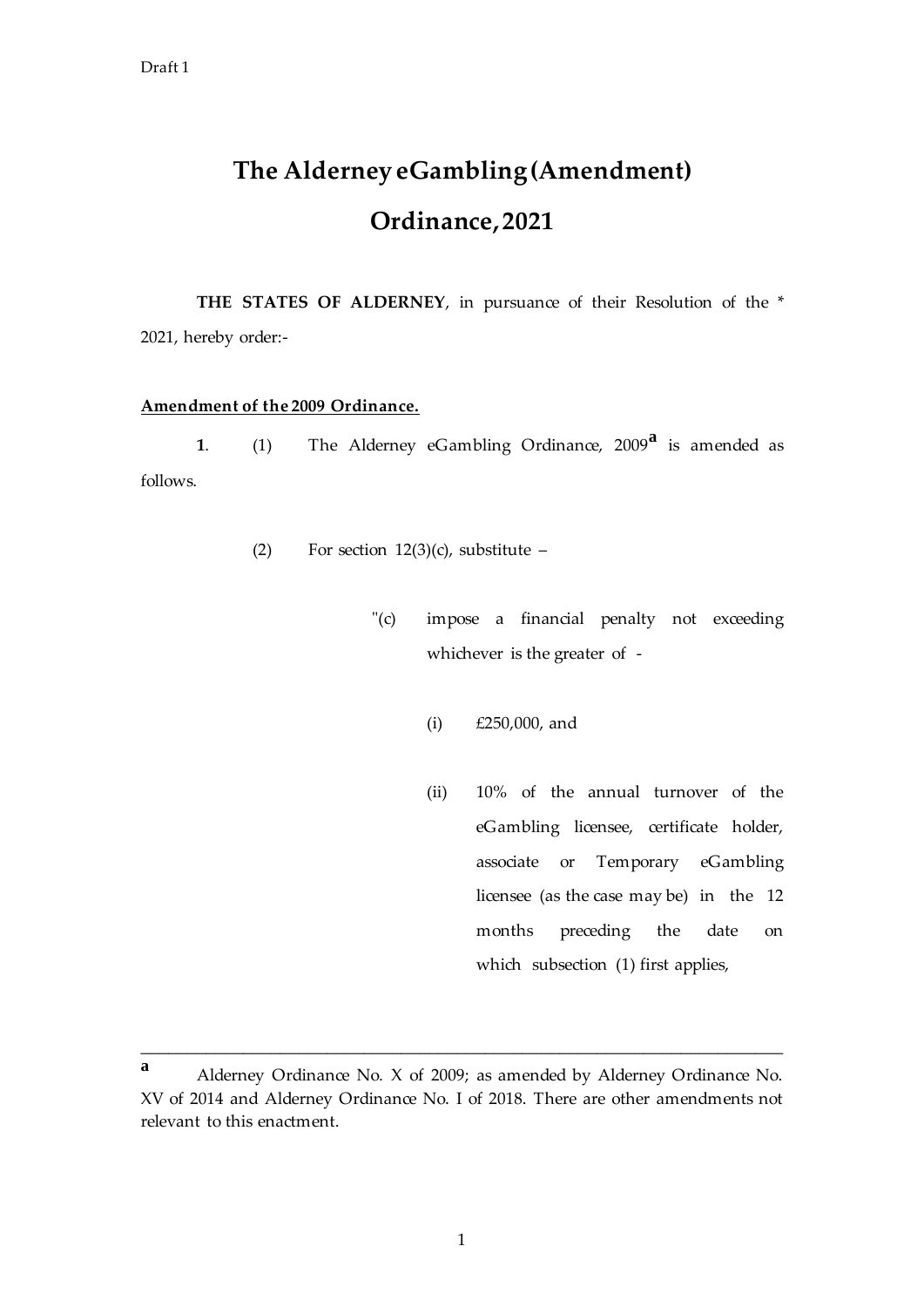## **The Alderney eGambling (Amendment) Ordinance, 2021**

THE STATES OF ALDERNEY, in pursuance of their Resolution of the \* 2021, hereby order:-

## **Amendment of the 2009 Ordinance.**

**<sup>1</sup>**. (1) The Alderney eGambling Ordinance, 2009**<sup>a</sup>** is amended as follows.

- (2) For section  $12(3)(c)$ , substitute
	- "(c) impose a financial penalty not exceeding whichever is the greater of -
		- (i) £250,000, and
		- (ii) 10% of the annual turnover of the eGambling licensee, certificate holder, associate or Temporary eGambling licensee (as the case may be) in the 12 months preceding the date on which subsection (1) first applies,

\_\_\_\_\_\_\_\_\_\_\_\_\_\_\_\_\_\_\_\_\_\_\_\_\_\_\_\_\_\_\_\_\_\_\_\_\_\_\_\_\_\_\_\_\_\_\_\_\_\_\_\_\_\_\_\_\_\_\_\_\_\_\_\_\_\_\_\_\_

**<sup>a</sup>** Alderney Ordinance No. X of 2009; as amended by Alderney Ordinance No. XV of 2014 and Alderney Ordinance No. I of 2018. There are other amendments not relevant to this enactment.